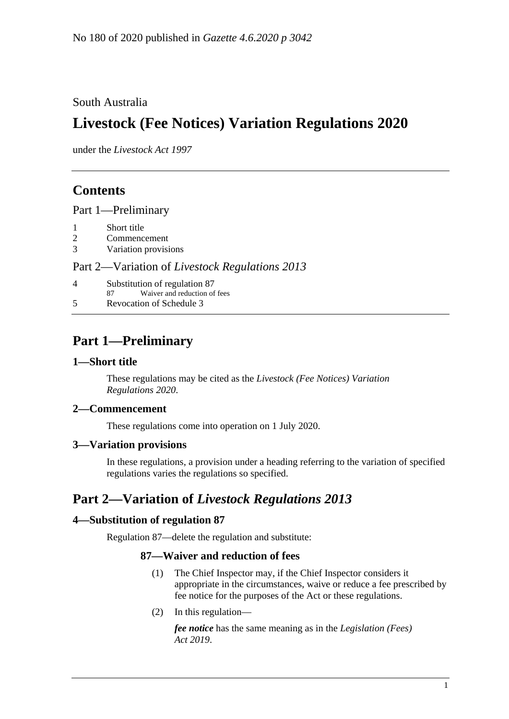### South Australia

# **Livestock (Fee Notices) Variation Regulations 2020**

under the *Livestock Act 1997*

# **Contents**

Part [1—Preliminary](#page-0-0)

- 1 [Short title](#page-0-1)
- 2 [Commencement](#page-0-2)
- 3 [Variation provisions](#page-0-3)

#### Part 2—Variation of *[Livestock Regulations](#page-0-4) 2013*

| 4 | Substitution of regulation 87      |
|---|------------------------------------|
|   | Waiver and reduction of fees<br>87 |
| 5 | Revocation of Schedule 3           |

# <span id="page-0-0"></span>**Part 1—Preliminary**

#### <span id="page-0-1"></span>**1—Short title**

These regulations may be cited as the *Livestock (Fee Notices) Variation Regulations 2020*.

#### <span id="page-0-2"></span>**2—Commencement**

These regulations come into operation on 1 July 2020.

#### <span id="page-0-3"></span>**3—Variation provisions**

In these regulations, a provision under a heading referring to the variation of specified regulations varies the regulations so specified.

# <span id="page-0-4"></span>**Part 2—Variation of** *Livestock Regulations 2013*

#### <span id="page-0-5"></span>**4—Substitution of regulation 87**

Regulation 87—delete the regulation and substitute:

#### **87—Waiver and reduction of fees**

- (1) The Chief Inspector may, if the Chief Inspector considers it appropriate in the circumstances, waive or reduce a fee prescribed by fee notice for the purposes of the Act or these regulations.
- (2) In this regulation—

*fee notice* has the same meaning as in the *[Legislation \(Fees\)](http://www.legislation.sa.gov.au/index.aspx?action=legref&type=act&legtitle=Legislation%20(Fees)%20Act%202019)  Act [2019](http://www.legislation.sa.gov.au/index.aspx?action=legref&type=act&legtitle=Legislation%20(Fees)%20Act%202019)*.